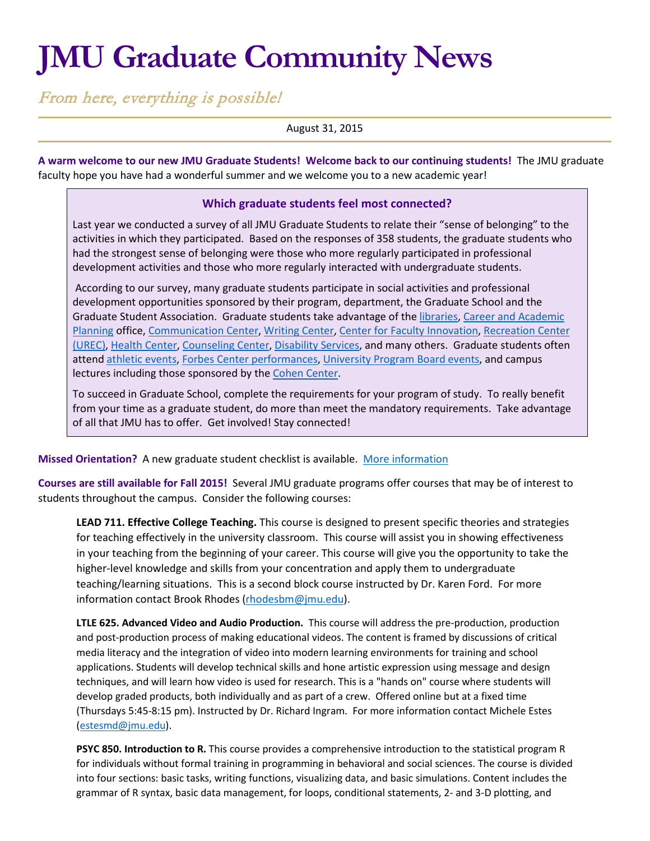# **JMU Graduate Community News**

From here, everything is possible!

August 31, 2015

**A warm welcome to our new JMU Graduate Students! Welcome back to our continuing students!** The JMU graduate faculty hope you have had a wonderful summer and we welcome you to a new academic year!

## **Which graduate students feel most connected?**

Last year we conducted a survey of all JMU Graduate Students to relate their "sense of belonging" to the activities in which they participated. Based on the responses of 358 students, the graduate students who had the strongest sense of belonging were those who more regularly participated in professional development activities and those who more regularly interacted with undergraduate students.

According to our survey, many graduate students participate in social activities and professional development opportunities sponsored by their program, department, the Graduate School and the Graduate Student Association. Graduate students take advantage of the [libraries,](http://www.lib.jmu.edu/) [Career and Academic](https://www.jmu.edu/cap/)  [Planning](https://www.jmu.edu/cap/) office, [Communication Center,](http://www.jmu.edu/commcenter/) [Writing Center,](https://www.jmu.edu/uwc/) [Center for Faculty Innovation,](http://www.jmu.edu/cfi/) [Recreation Center](https://www.jmu.edu/recreation/)  [\(UREC\),](https://www.jmu.edu/recreation/) [Health Center,](http://www.jmu.edu/healthcenter/) [Counseling Center,](https://www.jmu.edu/counselingctr/) [Disability Services,](https://www.jmu.edu/ods/) and many others. Graduate students often atten[d athletic events,](http://www.jmusports.com/) [Forbes Center performances,](https://www.jmu.edu/forbescenter/index.shtml) [University Program Board events,](http://info.jmu.edu/upb/) and campus lectures including those sponsored by the [Cohen Center.](http://www.jmu.edu/cohencenter/)

To succeed in Graduate School, complete the requirements for your program of study. To really benefit from your time as a graduate student, do more than meet the mandatory requirements. Take advantage of all that JMU has to offer. Get involved! Stay connected!

**Missed Orientation?** A new graduate student checklist is available. [More information](http://www.jmu.edu/grad/current-students/New-Graduate-Student-Checklist.shtml)

**Courses are still available for Fall 2015!** Several JMU graduate programs offer courses that may be of interest to students throughout the campus. Consider the following courses:

**LEAD 711. Effective College Teaching.** This course is designed to present specific theories and strategies for teaching effectively in the university classroom. This course will assist you in showing effectiveness in your teaching from the beginning of your career. This course will give you the opportunity to take the higher-level knowledge and skills from your concentration and apply them to undergraduate teaching/learning situations. This is a second block course instructed by Dr. Karen Ford. For more information contact Brook Rhodes [\(rhodesbm@jmu.edu\)](mailto:rhodesbm@jmu.edu).

**LTLE 625. Advanced Video and Audio Production.** This course will address the pre-production, production and post-production process of making educational videos. The content is framed by discussions of critical media literacy and the integration of video into modern learning environments for training and school applications. Students will develop technical skills and hone artistic expression using message and design techniques, and will learn how video is used for research. This is a "hands on" course where students will develop graded products, both individually and as part of a crew. Offered online but at a fixed time (Thursdays 5:45-8:15 pm). Instructed by Dr. Richard Ingram. For more information contact Michele Estes [\(estesmd@jmu.edu\)](mailto:estesmd@jmu.edu).

**PSYC 850. Introduction to R.** This course provides a comprehensive introduction to the statistical program R for individuals without formal training in programming in behavioral and social sciences. The course is divided into four sections: basic tasks, writing functions, visualizing data, and basic simulations. Content includes the grammar of R syntax, basic data management, for loops, conditional statements, 2- and 3-D plotting, and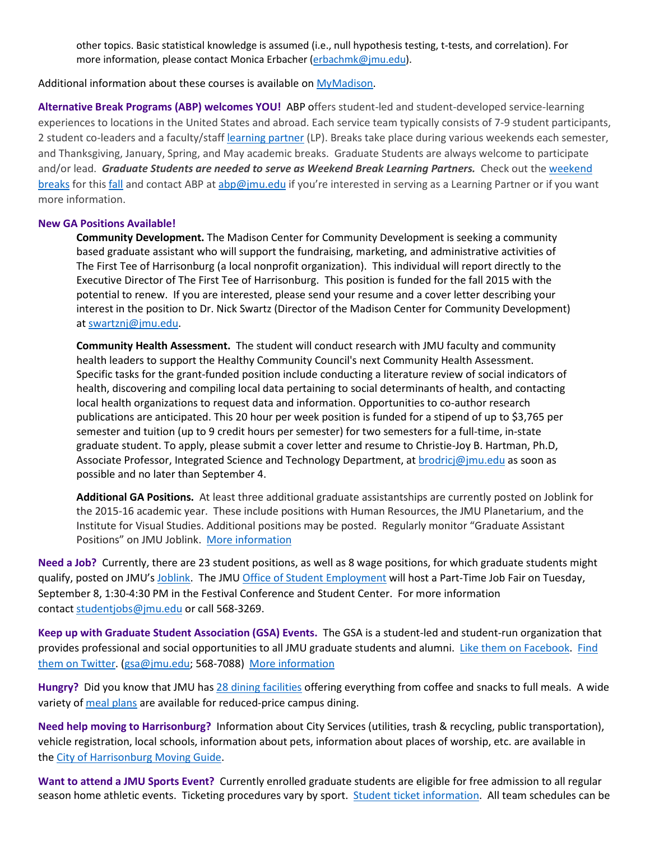other topics. Basic statistical knowledge is assumed (i.e., null hypothesis testing, t-tests, and correlation). For more information, please contact Monica Erbacher [\(erbachmk@jmu.edu\)](mailto:erbachmk@jmu.edu).

### Additional information about these courses is available on [MyMadison.](http://mymadison.jmu.edu/)

**Alternative Break Programs (ABP) welcomes YOU!** ABP offers student-led and student-developed service-learning experiences to locations in the United States and abroad. Each service team typically consists of 7-9 student participants, 2 student co-leaders and a faculty/staff [learning partner](http://www.jmu.edu/abp/participate/learning-partner.shtml) (LP). Breaks take place during various weekends each semester, and Thanksgiving, January, Spring, and May academic breaks. Graduate Students are always welcome to participate and/or lead. Graduate Students are needed to serve as Weekend Break Learning Partners. Check out the weekend [breaks](http://www.jmu.edu/abp/break-types/awb.shtml) for thi[s fall](http://www.jmu.edu/abp/trip-descriptions/index.shtml) and contact ABP at [abp@jmu.edu](mailto:abp@jmu.edu) if you're interested in serving as a Learning Partner or if you want more information.

### **New GA Positions Available!**

**Community Development.** The Madison Center for Community Development is seeking a community based graduate assistant who will support the fundraising, marketing, and administrative activities of The First Tee of Harrisonburg (a local nonprofit organization). This individual will report directly to the Executive Director of The First Tee of Harrisonburg. This position is funded for the fall 2015 with the potential to renew. If you are interested, please send your resume and a cover letter describing your interest in the position to Dr. Nick Swartz (Director of the Madison Center for Community Development) at [swartznj@jmu.edu.](mailto:swartznj@jmu.edu)

**Community Health Assessment.** The student will conduct research with JMU faculty and community health leaders to support the Healthy Community Council's next Community Health Assessment. Specific tasks for the grant-funded position include conducting a literature review of social indicators of health, discovering and compiling local data pertaining to social determinants of health, and contacting local health organizations to request data and information. Opportunities to co-author research publications are anticipated. This 20 hour per week position is funded for a stipend of up to \$3,765 per semester and tuition (up to 9 credit hours per semester) for two semesters for a full-time, in-state graduate student. To apply, please submit a cover letter and resume to Christie-Joy B. Hartman, Ph.D, Associate Professor, Integrated Science and Technology Department, at [brodricj@jmu.edu](mailto:brodricj@jmu.edu) as soon as possible and no later than September 4.

**Additional GA Positions.** At least three additional graduate assistantships are currently posted on Joblink for the 2015-16 academic year. These include positions with Human Resources, the JMU Planetarium, and the Institute for Visual Studies. Additional positions may be posted. Regularly monitor "Graduate Assistant Positions" on JMU Joblink. [More information](https://joblink.jmu.edu/)

**Need a Job?** Currently, there are 23 student positions, as well as 8 wage positions, for which graduate students might qualify, posted on JMU's [Joblink.](http://joblink.jmu.edu/) The JM[U Office of Student Employment](http://www.jmu.edu/stuemploy/) will host a Part-Time Job Fair on Tuesday, September 8, 1:30-4:30 PM in the Festival Conference and Student Center. For more information contact [studentjobs@jmu.edu](mailto:studentjobs@jmu.edu) or call 568-3269.

**Keep up with Graduate Student Association (GSA) Events.** The GSA is a student-led and student-run organization that provides professional and social opportunities to all JMU graduate students and alumni. [Like them on Facebook.](https://www.facebook.com/JMUGSA?fref=ts) [Find](https://twitter.com/JMUGSA)  [them on Twitter.](https://twitter.com/JMUGSA) [\(gsa@jmu.edu;](mailto:gsa@jmu.edu) 568-7088) [More information](http://www.jmu.edu/grad/gsa/index.shtml)

**Hungry?** Did you know that JMU has 28 [dining facilities](https://jmu.campusdish.com/) offering everything from coffee and snacks to full meals. A wide variety of [meal plans](http://www.jmu.edu/cardctr/mealplan.shtml) are available for reduced-price campus dining.

**Need help moving to Harrisonburg?** Information about City Services (utilities, trash & recycling, public transportation), vehicle registration, local schools, information about pets, information about places of worship, etc. are available in the [City of Harrisonburg Moving Guide.](http://www.harrisonburgva.gov/moving-guide)

**Want to attend a JMU Sports Event?** Currently enrolled graduate students are eligible for free admission to all regular season home athletic events. Ticketing procedures vary by sport. [Student ticket information.](http://www.jmusports.com/news/2014/6/23/Stu_0623144511.aspx) All team schedules can be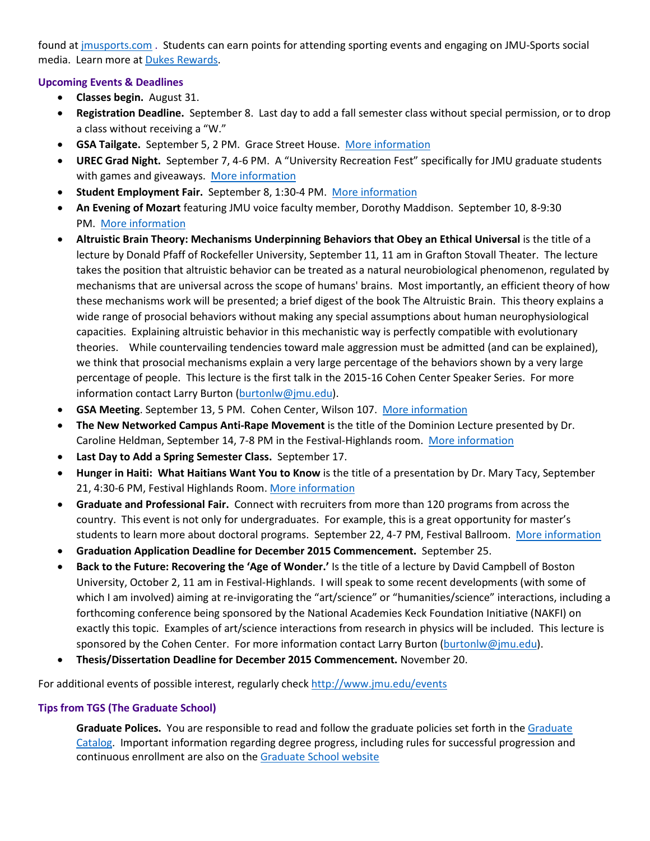found at [jmusports.com](http://jmusports.com/) . Students can earn points for attending sporting events and engaging on JMU-Sports social media. Learn more at [Dukes Rewards.](http://rewards.jmusports.com/)

# **Upcoming Events & Deadlines**

- **Classes begin.** August 31.
- **Registration Deadline.** September 8. Last day to add a fall semester class without special permission, or to drop a class without receiving a "W."
- **GSA Tailgate.** September 5, 2 PM. Grace Street House. [More information](http://www.jmu.edu/grad/gsa/index.shtml)
- **UREC Grad Night.** September 7, 4-6 PM. A "University Recreation Fest" specifically for JMU graduate students with games and giveaways. [More information](http://www.jmu.edu/events/grad/2015/09/07-urec-event-for-grad-students.shtml)
- **Student Employment Fair.** September 8, 1:30-4 PM. [More information](http://www.jmu.edu/stuemploy/index.shtml)
- **An Evening of Mozart** featuring JMU voice faculty member, Dorothy Maddison. September 10, 8-9:30 PM. [More information](http://www.jmu.edu/events/forbescenter/2015/09/10-an-evening-with-mozart.shtml)
- **Altruistic Brain Theory: Mechanisms Underpinning Behaviors that Obey an Ethical Universal** is the title of a lecture by Donald Pfaff of Rockefeller University, September 11, 11 am in Grafton Stovall Theater. The lecture takes the position that altruistic behavior can be treated as a natural neurobiological phenomenon, regulated by mechanisms that are universal across the scope of humans' brains. Most importantly, an efficient theory of how these mechanisms work will be presented; a brief digest of the book The Altruistic Brain. This theory explains a wide range of prosocial behaviors without making any special assumptions about human neurophysiological capacities. Explaining altruistic behavior in this mechanistic way is perfectly compatible with evolutionary theories. While countervailing tendencies toward male aggression must be admitted (and can be explained), we think that prosocial mechanisms explain a very large percentage of the behaviors shown by a very large percentage of people. This lecture is the first talk in the 2015-16 Cohen Center Speaker Series. For more information contact Larry Burton [\(burtonlw@jmu.edu\)](mailto:burtonlw@jmu.edu).
- **GSA Meeting**. September 13, 5 PM. Cohen Center, Wilson 107. [More information](http://www.jmu.edu/grad/gsa/index.shtml)
- **The New Networked Campus Anti-Rape Movement** is the title of the Dominion Lecture presented by Dr. Caroline Heldman, September 14, 7-8 PM in the Festival-Highlands room. [More information](http://www.jmu.edu/events/womenstudies/2015/09/14-dominion-lecture.shtml)
- **Last Day to Add a Spring Semester Class.** September 17.
- **Hunger in Haiti: What Haitians Want You to Know** is the title of a presentation by Dr. Mary Tacy, September 21, 4:30-6 PM, Festival Highlands Room. [More information](http://www.jmu.edu/events/international/2015/09/21-hunger-in-haiti.shtml)
- **Graduate and Professional Fair.** Connect with recruiters from more than 120 programs from across the country. This event is not only for undergraduates. For example, this is a great opportunity for master's students to learn more about doctoral programs. September 22, 4-7 PM, Festival Ballroom. [More information](http://www.jmu.edu/gradfairs/)
- **Graduation Application Deadline for December 2015 Commencement.** September 25.
- **Back to the Future: Recovering the 'Age of Wonder.'** Is the title of a lecture by David Campbell of Boston University, October 2, 11 am in Festival-Highlands. I will speak to some recent developments (with some of which I am involved) aiming at re-invigorating the "art/science" or "humanities/science" interactions, including a forthcoming conference being sponsored by the National Academies Keck Foundation Initiative (NAKFI) on exactly this topic. Examples of art/science interactions from research in physics will be included. This lecture is sponsored by the Cohen Center. For more information contact Larry Burton [\(burtonlw@jmu.edu\)](mailto:burtonlw@jmu.edu).
- **Thesis/Dissertation Deadline for December 2015 Commencement.** November 20.

For additional events of possible interest, regularly check<http://www.jmu.edu/events>

## **Tips from TGS (The Graduate School)**

**Graduate Polices.** You are responsible to read and follow the graduate policies set forth in th[e Graduate](http://jmu.edu/catalog)  [Catalog.](http://jmu.edu/catalog) Important information regarding degree progress, including rules for successful progression and continuous enrollment are also on th[e Graduate School website](http://www.jmu.edu/grad/current-students/degree-progress/beginning.shtml)